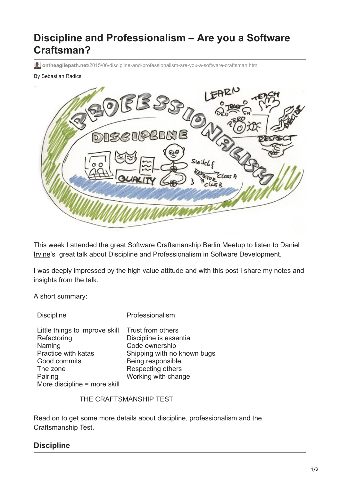# **Discipline and Professionalism – Are you a Software Craftsman?**

**ontheagilepath.net**[/2015/06/discipline-and-professionalism-are-you-a-software-craftsman.html](https://www.ontheagilepath.net/2015/06/discipline-and-professionalism-are-you-a-software-craftsman.html)

#### By Sebastian Radics



[This week I attended the great Software Craftsmanship Berlin Meetup to listen to Daniel](https://twitter.com/d_ir?lang=de) Irvine's great talk about Discipline and Professionalism in Software Development.

I was deeply impressed by the high value attitude and with this post I share my notes and insights from the talk.

A short summary:

| <b>Discipline</b>                                                                                                                                            | Professionalism                                                                                                                                                |
|--------------------------------------------------------------------------------------------------------------------------------------------------------------|----------------------------------------------------------------------------------------------------------------------------------------------------------------|
| Little things to improve skill<br>Refactoring<br>Naming<br><b>Practice with katas</b><br>Good commits<br>The zone<br>Pairing<br>More discipline = more skill | Trust from others<br>Discipline is essential<br>Code ownership<br>Shipping with no known bugs<br>Being responsible<br>Respecting others<br>Working with change |

THE CRAFTSMANSHIP TEST

Read on to get some more details about discipline, professionalism and the Craftsmanship Test.

## **Discipline**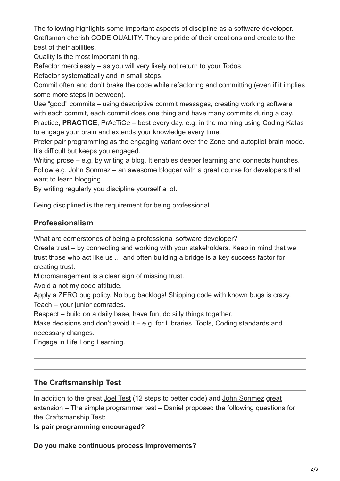The following highlights some important aspects of discipline as a software developer. Craftsman cherish CODE QUALITY. They are pride of their creations and create to the best of their abilities.

Quality is the most important thing.

Refactor mercilessly – as you will very likely not return to your Todos.

Refactor systematically and in small steps.

Commit often and don't brake the code while refactoring and committing (even if it implies some more steps in between).

Use "good" commits – using descriptive commit messages, creating working software with each commit, each commit does one thing and have many commits during a day. Practice, **PRACTICE**, PrAcTiCe – best every day, e.g. in the morning using Coding Katas to engage your brain and extends your knowledge every time.

Prefer pair programming as the engaging variant over the Zone and autopilot brain mode. It's difficult but keeps you engaged.

Writing prose – e.g. by writing a blog. It enables deeper learning and connects hunches. Follow e.g. [John Sonmez](https://twitter.com/jsonmez) – an awesome blogger with a great course for developers that want to learn blogging.

By writing regularly you discipline yourself a lot.

Being disciplined is the requirement for being professional.

# **Professionalism**

What are cornerstones of being a professional software developer?

Create trust – by connecting and working with your stakeholders. Keep in mind that we trust those who act like us … and often building a bridge is a key success factor for creating trust.

Micromanagement is a clear sign of missing trust.

Avoid a not my code attitude.

Apply a ZERO bug policy. No bug backlogs! Shipping code with known bugs is crazy. Teach – your junior comrades.

Respect – build on a daily base, have fun, do silly things together.

Make decisions and don't avoid it – e.g. for Libraries, Tools, Coding standards and necessary changes.

Engage in Life Long Learning.

# **The Craftsmanship Test**

In addition to the great [Joel Test](http://www.joelonsoftware.com/articles/fog0000000043.html) (12 steps to better code) and [John Sonmez](https://twitter.com/jsonmez) great [extension – The simple programmer test – Daniel proposed the following questions](http://simpleprogrammer.com/2015/02/16/joel-test-programmers-simple-programmer-test/) for the Craftsmanship Test:

**Is pair programming encouraged?**

**Do you make continuous process improvements?**